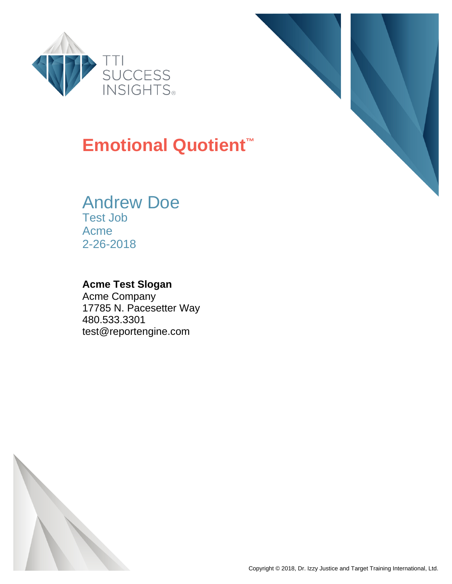



### **Emotional Quotient™**

#### Andrew Doe Test Job

Acme 2-26-2018

#### **Acme Test Slogan**

Acme Company 17785 N. Pacesetter Way 480.533.3301 test@reportengine.com

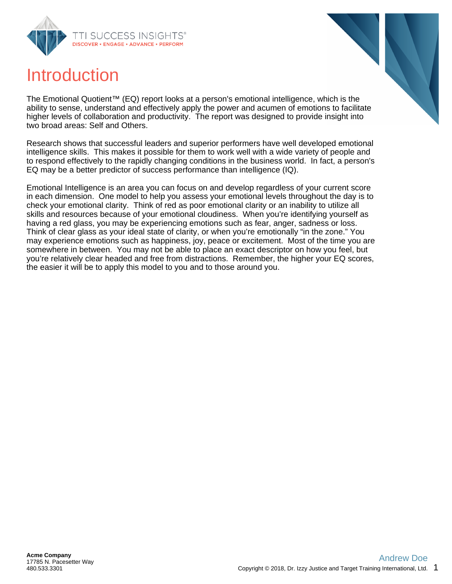





The Emotional Quotient™ (EQ) report looks at a person's emotional intelligence, which is the ability to sense, understand and effectively apply the power and acumen of emotions to facilitate higher levels of collaboration and productivity. The report was designed to provide insight into two broad areas: Self and Others.

Research shows that successful leaders and superior performers have well developed emotional intelligence skills. This makes it possible for them to work well with a wide variety of people and to respond effectively to the rapidly changing conditions in the business world. In fact, a person's EQ may be a better predictor of success performance than intelligence (IQ).

Emotional Intelligence is an area you can focus on and develop regardless of your current score in each dimension. One model to help you assess your emotional levels throughout the day is to check your emotional clarity. Think of red as poor emotional clarity or an inability to utilize all skills and resources because of your emotional cloudiness. When you're identifying yourself as having a red glass, you may be experiencing emotions such as fear, anger, sadness or loss. Think of clear glass as your ideal state of clarity, or when you're emotionally "in the zone." You may experience emotions such as happiness, joy, peace or excitement. Most of the time you are somewhere in between. You may not be able to place an exact descriptor on how you feel, but you're relatively clear headed and free from distractions. Remember, the higher your EQ scores, the easier it will be to apply this model to you and to those around you.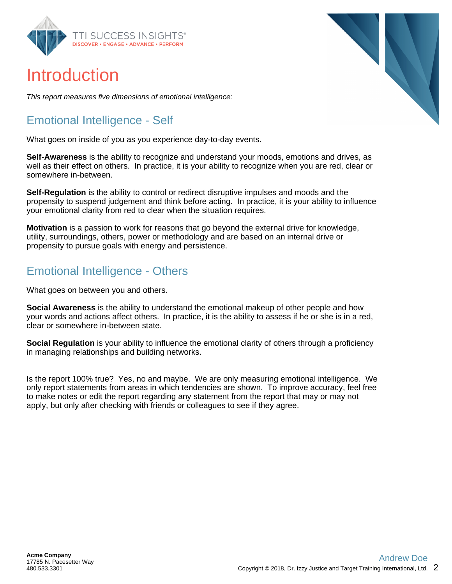

### Introduction

This report measures five dimensions of emotional intelligence:

#### Emotional Intelligence - Self

What goes on inside of you as you experience day-to-day events.

**Self-Awareness** is the ability to recognize and understand your moods, emotions and drives, as well as their effect on others. In practice, it is your ability to recognize when you are red, clear or somewhere in-between.

**Self-Regulation** is the ability to control or redirect disruptive impulses and moods and the propensity to suspend judgement and think before acting. In practice, it is your ability to influence your emotional clarity from red to clear when the situation requires.

**Motivation** is a passion to work for reasons that go beyond the external drive for knowledge, utility, surroundings, others, power or methodology and are based on an internal drive or propensity to pursue goals with energy and persistence.

#### Emotional Intelligence - Others

What goes on between you and others.

**Social Awareness** is the ability to understand the emotional makeup of other people and how your words and actions affect others. In practice, it is the ability to assess if he or she is in a red, clear or somewhere in-between state.

**Social Regulation** is your ability to influence the emotional clarity of others through a proficiency in managing relationships and building networks.

Is the report 100% true? Yes, no and maybe. We are only measuring emotional intelligence. We only report statements from areas in which tendencies are shown. To improve accuracy, feel free to make notes or edit the report regarding any statement from the report that may or may not apply, but only after checking with friends or colleagues to see if they agree.

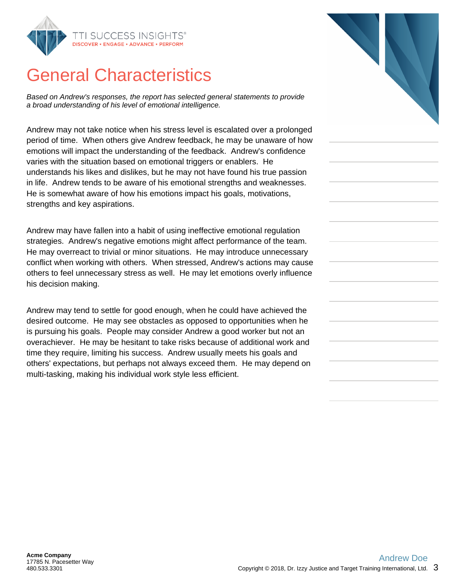

### General Characteristics

Based on Andrew's responses, the report has selected general statements to provide a broad understanding of his level of emotional intelligence.

Andrew may not take notice when his stress level is escalated over a prolonged period of time. When others give Andrew feedback, he may be unaware of how emotions will impact the understanding of the feedback. Andrew's confidence varies with the situation based on emotional triggers or enablers. He understands his likes and dislikes, but he may not have found his true passion in life. Andrew tends to be aware of his emotional strengths and weaknesses. He is somewhat aware of how his emotions impact his goals, motivations, strengths and key aspirations.

Andrew may have fallen into a habit of using ineffective emotional regulation strategies. Andrew's negative emotions might affect performance of the team. He may overreact to trivial or minor situations. He may introduce unnecessary conflict when working with others. When stressed, Andrew's actions may cause others to feel unnecessary stress as well. He may let emotions overly influence his decision making.

Andrew may tend to settle for good enough, when he could have achieved the desired outcome. He may see obstacles as opposed to opportunities when he is pursuing his goals. People may consider Andrew a good worker but not an overachiever. He may be hesitant to take risks because of additional work and time they require, limiting his success. Andrew usually meets his goals and others' expectations, but perhaps not always exceed them. He may depend on multi-tasking, making his individual work style less efficient.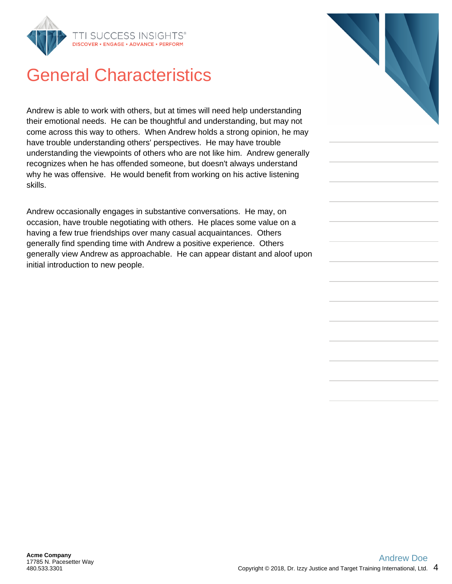

### General Characteristics

Andrew is able to work with others, but at times will need help understanding their emotional needs. He can be thoughtful and understanding, but may not come across this way to others. When Andrew holds a strong opinion, he may have trouble understanding others' perspectives. He may have trouble understanding the viewpoints of others who are not like him. Andrew generally recognizes when he has offended someone, but doesn't always understand why he was offensive. He would benefit from working on his active listening skills.

Andrew occasionally engages in substantive conversations. He may, on occasion, have trouble negotiating with others. He places some value on a having a few true friendships over many casual acquaintances. Others generally find spending time with Andrew a positive experience. Others generally view Andrew as approachable. He can appear distant and aloof upon initial introduction to new people.

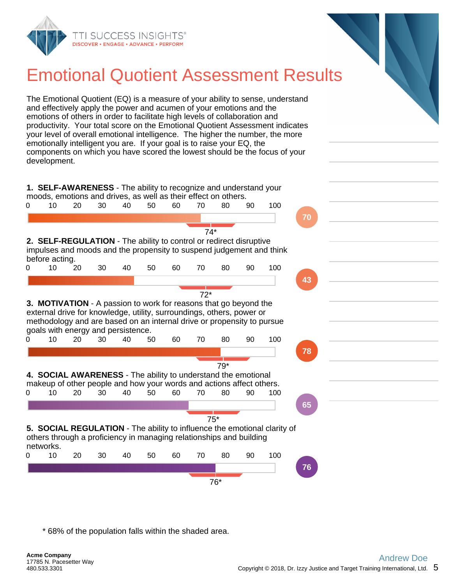

# Emotional Quotient Assessment Results

The Emotional Quotient (EQ) is a measure of your ability to sense, understand and effectively apply the power and acumen of your emotions and the emotions of others in order to facilitate high levels of collaboration and productivity. Your total score on the Emotional Quotient Assessment indicates your level of overall emotional intelligence. The higher the number, the more emotionally intelligent you are. If your goal is to raise your EQ, the components on which you have scored the lowest should be the focus of your development.

**1. SELF-AWARENESS** - The ability to recognize and understand your moods, emotions and drives, as well as their effect on others.



\* 68% of the population falls within the shaded area.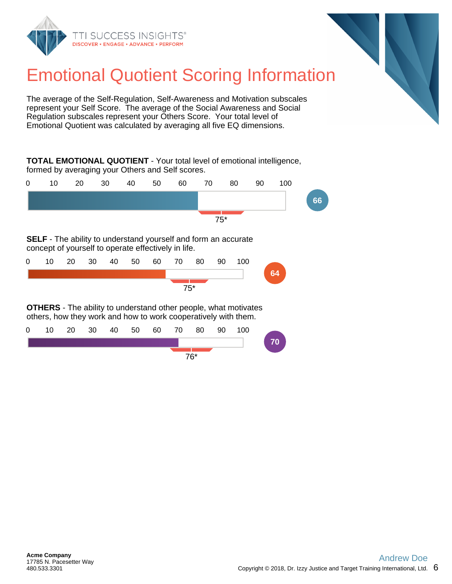



# Emotional Quotient Scoring Information

The average of the Self-Regulation, Self-Awareness and Motivation subscales represent your Self Score. The average of the Social Awareness and Social Regulation subscales represent your Others Score. Your total level of Emotional Quotient was calculated by averaging all five EQ dimensions.

**TOTAL EMOTIONAL QUOTIENT** - Your total level of emotional intelligence, formed by averaging your Others and Self scores.



**SELF** - The ability to understand yourself and form an accurate concept of yourself to operate effectively in life.

| $\mathbf{0}$ |        | 10 20 | - 30 |  |  |  | 40 50 60 70 | 80 | 90 | 100 |    |
|--------------|--------|-------|------|--|--|--|-------------|----|----|-----|----|
|              |        |       |      |  |  |  |             |    |    |     | 64 |
|              | $75^*$ |       |      |  |  |  |             |    |    |     |    |

**OTHERS** - The ability to understand other people, what motivates others, how they work and how to work cooperatively with them.

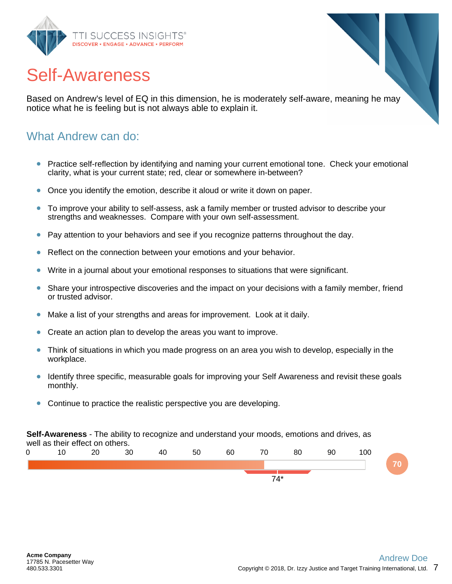

### Self-Awareness

Based on Andrew's level of EQ in this dimension, he is moderately self-aware, meaning he may notice what he is feeling but is not always able to explain it.

#### What Andrew can do:

- Practice self-reflection by identifying and naming your current emotional tone. Check your emotional  $\bullet$ clarity, what is your current state; red, clear or somewhere in-between?
- Once you identify the emotion, describe it aloud or write it down on paper.
- To improve your ability to self-assess, ask a family member or trusted advisor to describe your strengths and weaknesses. Compare with your own self-assessment.
- Pay attention to your behaviors and see if you recognize patterns throughout the day.
- Reflect on the connection between your emotions and your behavior.
- Write in a journal about your emotional responses to situations that were significant.
- Share your introspective discoveries and the impact on your decisions with a family member, friend or trusted advisor.
- Make a list of your strengths and areas for improvement. Look at it daily.
- Create an action plan to develop the areas you want to improve.
- Think of situations in which you made progress on an area you wish to develop, especially in the workplace.
- Identify three specific, measurable goals for improving your Self Awareness and revisit these goals monthly.
- Continue to practice the realistic perspective you are developing.

**Self-Awareness** - The ability to recognize and understand your moods, emotions and drives, as well as their effect on others.

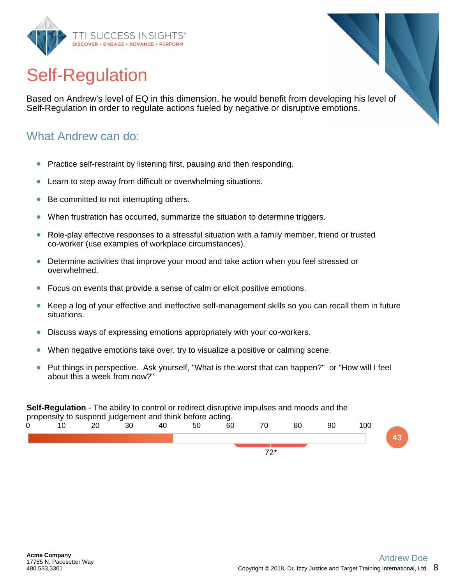

# Self-Regulation

Based on Andrew's level of EQ in this dimension, he would benefit from developing his level of Self-Regulation in order to regulate actions fueled by negative or disruptive emotions.

#### What Andrew can do:

- Practice self-restraint by listening first, pausing and then responding.  $\bullet$
- Learn to step away from difficult or overwhelming situations.
- Be committed to not interrupting others.
- When frustration has occurred, summarize the situation to determine triggers.
- Role-play effective responses to a stressful situation with a family member, friend or trusted  $\bullet$ co-worker (use examples of workplace circumstances).
- Determine activities that improve your mood and take action when you feel stressed or  $\bullet$ overwhelmed.
- Focus on events that provide a sense of calm or elicit positive emotions.
- Keep a log of your effective and ineffective self-management skills so you can recall them in future situations.
- Discuss ways of expressing emotions appropriately with your co-workers.
- When negative emotions take over, try to visualize a positive or calming scene.
- Put things in perspective. Ask yourself, "What is the worst that can happen?" or "How will I feel about this a week from now?"

#### **Self-Regulation** - The ability to control or redirect disruptive impulses and moods and the

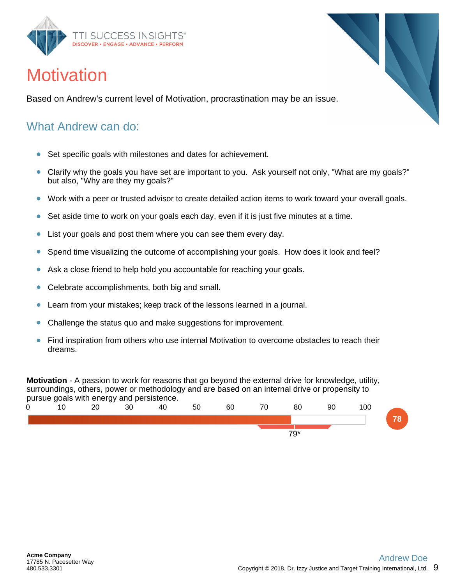

### **Motivation**

Based on Andrew's current level of Motivation, procrastination may be an issue.

#### What Andrew can do:

- Set specific goals with milestones and dates for achievement.  $\bullet$
- $\bullet$ Clarify why the goals you have set are important to you. Ask yourself not only, "What are my goals?" but also, "Why are they my goals?"
- Work with a peer or trusted advisor to create detailed action items to work toward your overall goals.
- Set aside time to work on your goals each day, even if it is just five minutes at a time.  $\bullet$
- $\bullet$ List your goals and post them where you can see them every day.
- Spend time visualizing the outcome of accomplishing your goals. How does it look and feel?  $\bullet$
- Ask a close friend to help hold you accountable for reaching your goals.  $\bullet$
- Celebrate accomplishments, both big and small.  $\bullet$
- Learn from your mistakes; keep track of the lessons learned in a journal.
- Challenge the status quo and make suggestions for improvement.
- Find inspiration from others who use internal Motivation to overcome obstacles to reach their dreams.

**Motivation** - A passion to work for reasons that go beyond the external drive for knowledge, utility, surroundings, others, power or methodology and are based on an internal drive or propensity to pursue goals with energy and persistence.

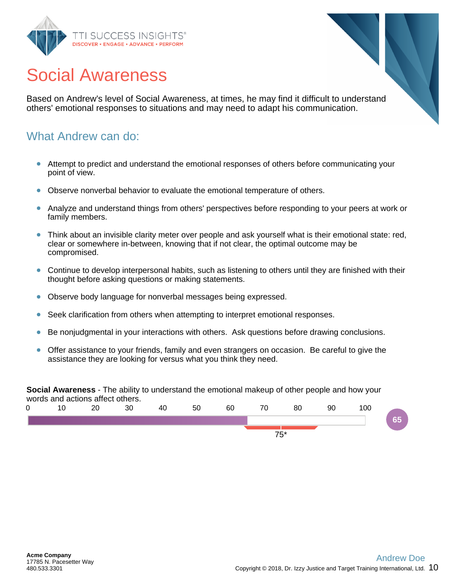



Based on Andrew's level of Social Awareness, at times, he may find it difficult to understand others' emotional responses to situations and may need to adapt his communication.

#### What Andrew can do:

- Attempt to predict and understand the emotional responses of others before communicating your  $\bullet$ point of view.
- Observe nonverbal behavior to evaluate the emotional temperature of others.
- Analyze and understand things from others' perspectives before responding to your peers at work or family members.
- Think about an invisible clarity meter over people and ask yourself what is their emotional state: red,  $\bullet$ clear or somewhere in-between, knowing that if not clear, the optimal outcome may be compromised.
- Continue to develop interpersonal habits, such as listening to others until they are finished with their thought before asking questions or making statements.
- Observe body language for nonverbal messages being expressed.  $\bullet$
- Seek clarification from others when attempting to interpret emotional responses.
- Be nonjudgmental in your interactions with others. Ask questions before drawing conclusions.
- Offer assistance to your friends, family and even strangers on occasion. Be careful to give the  $\bullet$ assistance they are looking for versus what you think they need.

**Social Awareness** - The ability to understand the emotional makeup of other people and how your words and actions affect others.

| 0          |  | 20 | 30 | 40 | 50 | 60 | 70 | 80 | 90 | 100 |    |
|------------|--|----|----|----|----|----|----|----|----|-----|----|
|            |  |    |    |    |    |    |    |    |    |     | 65 |
| $75*$<br>ັ |  |    |    |    |    |    |    |    |    |     |    |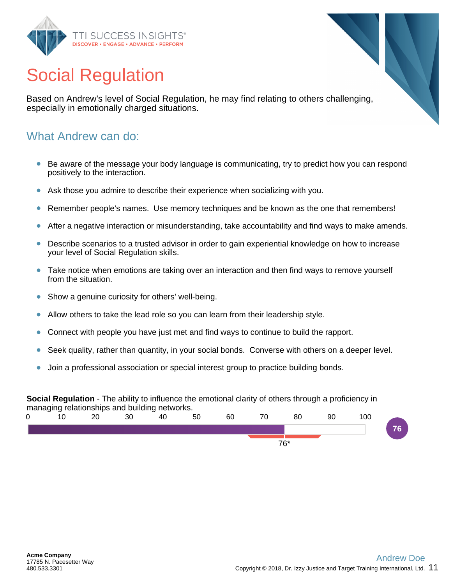

# Social Regulation

Based on Andrew's level of Social Regulation, he may find relating to others challenging, especially in emotionally charged situations.

#### What Andrew can do:

- Be aware of the message your body language is communicating, try to predict how you can respond  $\bullet$ positively to the interaction.
- Ask those you admire to describe their experience when socializing with you.
- Remember people's names. Use memory techniques and be known as the one that remembers!  $\bullet$
- After a negative interaction or misunderstanding, take accountability and find ways to make amends.
- Describe scenarios to a trusted advisor in order to gain experiential knowledge on how to increase your level of Social Regulation skills.
- Take notice when emotions are taking over an interaction and then find ways to remove yourself from the situation.
- Show a genuine curiosity for others' well-being.  $\bullet$
- Allow others to take the lead role so you can learn from their leadership style.
- Connect with people you have just met and find ways to continue to build the rapport.
- Seek quality, rather than quantity, in your social bonds. Converse with others on a deeper level.  $\bullet$
- Join a professional association or special interest group to practice building bonds.

#### **Social Regulation** - The ability to influence the emotional clarity of others through a proficiency in managing relationships and building networks.